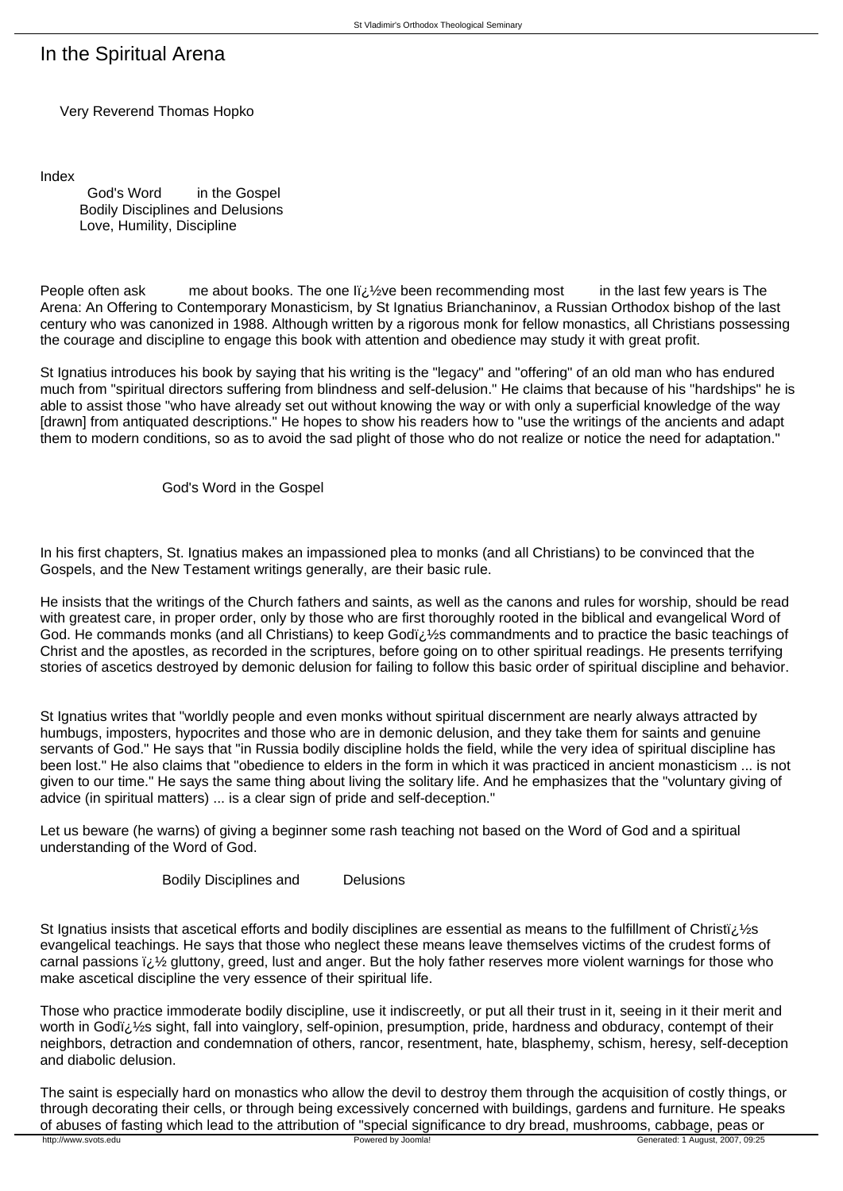## In the Spiritual Arena

Very Reverend Thomas Hopko

Index

 God's Word in the Gospel Bodily Disciplines and Delusions Love, Humility, Discipline

People often ask me about books. The one  $\mathbb{I}i_{\mathcal{E}}\mathcal{V}$ e been recommending most in the last few years is The Arena: An Offering to Contemporary Monasticism, by St Ignatius Brianchaninov, a Russian Orthodox bishop of the last century who was canonized in 1988. Although written by a rigorous monk for fellow monastics, all Christians possessing the courage and discipline to engage this book with attention and obedience may study it with great profit.

St Ignatius introduces his book by saying that his writing is the "legacy" and "offering" of an old man who has endured much from "spiritual directors suffering from blindness and self-delusion." He claims that because of his "hardships" he is able to assist those "who have already set out without knowing the way or with only a superficial knowledge of the way [drawn] from antiquated descriptions." He hopes to show his readers how to "use the writings of the ancients and adapt them to modern conditions, so as to avoid the sad plight of those who do not realize or notice the need for adaptation."

God's Word in the Gospel

In his first chapters, St. Ignatius makes an impassioned plea to monks (and all Christians) to be convinced that the Gospels, and the New Testament writings generally, are their basic rule.

He insists that the writings of the Church fathers and saints, as well as the canons and rules for worship, should be read with greatest care, in proper order, only by those who are first thoroughly rooted in the biblical and evangelical Word of God. He commands monks (and all Christians) to keep Godi $\lambda/2$ s commandments and to practice the basic teachings of Christ and the apostles, as recorded in the scriptures, before going on to other spiritual readings. He presents terrifying stories of ascetics destroyed by demonic delusion for failing to follow this basic order of spiritual discipline and behavior.

St Ignatius writes that "worldly people and even monks without spiritual discernment are nearly always attracted by humbugs, imposters, hypocrites and those who are in demonic delusion, and they take them for saints and genuine servants of God." He says that "in Russia bodily discipline holds the field, while the very idea of spiritual discipline has been lost." He also claims that "obedience to elders in the form in which it was practiced in ancient monasticism ... is not given to our time." He says the same thing about living the solitary life. And he emphasizes that the "voluntary giving of advice (in spiritual matters) ... is a clear sign of pride and self-deception."

Let us beware (he warns) of giving a beginner some rash teaching not based on the Word of God and a spiritual understanding of the Word of God.

Bodily Disciplines and Delusions

St Ignatius insists that ascetical efforts and bodily disciplines are essential as means to the fulfillment of Christi $\zeta$ .  $\zeta$ s evangelical teachings. He says that those who neglect these means leave themselves victims of the crudest forms of carnal passions  $\ddot{\bm{v}}$  gluttony, greed, lust and anger. But the holy father reserves more violent warnings for those who make ascetical discipline the very essence of their spiritual life.

Those who practice immoderate bodily discipline, use it indiscreetly, or put all their trust in it, seeing in it their merit and worth in Godï¿ 1/2s sight, fall into vainglory, self-opinion, presumption, pride, hardness and obduracy, contempt of their neighbors, detraction and condemnation of others, rancor, resentment, hate, blasphemy, schism, heresy, self-deception and diabolic delusion.

The saint is especially hard on monastics who allow the devil to destroy them through the acquisition of costly things, or through decorating their cells, or through being excessively concerned with buildings, gardens and furniture. He speaks of abuses of fasting which lead to the attribution of "special significance to dry bread, mushrooms, cabbage, peas or<br>
Powered by Joomla! Generated: 1 August, 2007, 09:25